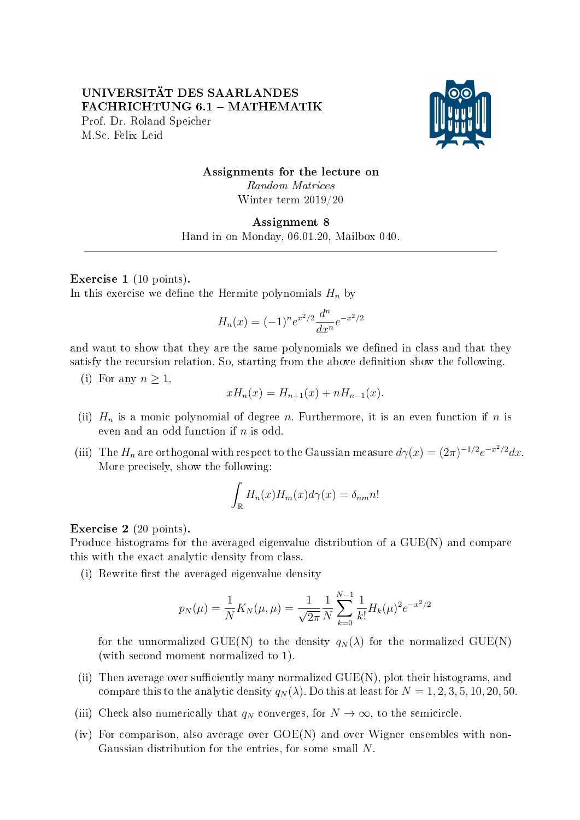## UNIVERSITÄT DES SAARLANDES FACHRICHTUNG 6.1 - MATHEMATIK Prof. Dr. Roland Speicher M.Sc. Felix Leid



# Assignments for the lecture on Random Matrices Winter term 2019/20

### Assignment 8 Hand in on Monday, 06.01.20, Mailbox 040.

### Exercise 1 (10 points).

In this exercise we define the Hermite polynomials  $H_n$  by

$$
H_n(x) = (-1)^n e^{x^2/2} \frac{d^n}{dx^n} e^{-x^2/2}
$$

and want to show that they are the same polynomials we defined in class and that they satisfy the recursion relation. So, starting from the above definition show the following.

(i) For any  $n \geq 1$ .

$$
xH_n(x) = H_{n+1}(x) + nH_{n-1}(x).
$$

- (ii)  $H_n$  is a monic polynomial of degree n. Furthermore, it is an even function if n is even and an odd function if  $n$  is odd.
- (iii) The  $H_n$  are orthogonal with respect to the Gaussian measure  $d\gamma(x) = (2\pi)^{-1/2}e^{-x^2/2}dx$ . More precisely, show the following:

$$
\int_{\mathbb{R}} H_n(x)H_m(x)d\gamma(x) = \delta_{nm}n!
$$

### Exercise 2 (20 points).

Produce histograms for the averaged eigenvalue distribution of a GUE(N) and compare this with the exact analytic density from class.

 $(i)$  Rewrite first the averaged eigenvalue density

$$
p_N(\mu) = \frac{1}{N} K_N(\mu, \mu) = \frac{1}{\sqrt{2\pi}} \frac{1}{N} \sum_{k=0}^{N-1} \frac{1}{k!} H_k(\mu)^2 e^{-x^2/2}
$$

for the unnormalized GUE(N) to the density  $q_N(\lambda)$  for the normalized GUE(N) (with second moment normalized to 1).

- (ii) Then average over sufficiently many normalized  $GUE(N)$ , plot their histograms, and compare this to the analytic density  $q_N(\lambda)$ . Do this at least for  $N = 1, 2, 3, 5, 10, 20, 50$ .
- (iii) Check also numerically that  $q_N$  converges, for  $N \to \infty$ , to the semicircle.
- (iv) For comparison, also average over  $GOE(N)$  and over Wigner ensembles with non-Gaussian distribution for the entries, for some small N.